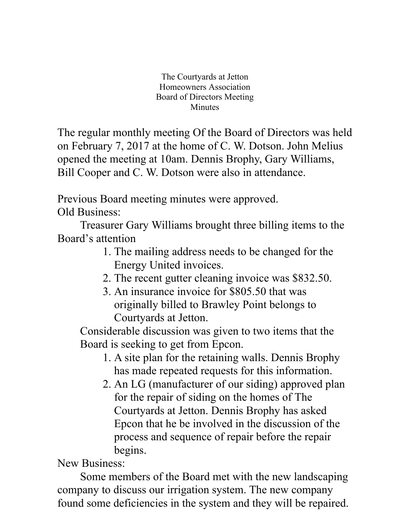The Courtyards at Jetton Homeowners Association Board of Directors Meeting Minutes

The regular monthly meeting Of the Board of Directors was held on February 7, 2017 at the home of C. W. Dotson. John Melius opened the meeting at 10am. Dennis Brophy, Gary Williams, Bill Cooper and C. W. Dotson were also in attendance.

Previous Board meeting minutes were approved. Old Business:

Treasurer Gary Williams brought three billing items to the Board's attention

- 1. The mailing address needs to be changed for the Energy United invoices.
- 2. The recent gutter cleaning invoice was \$832.50.
- 3. An insurance invoice for \$805.50 that was originally billed to Brawley Point belongs to Courtyards at Jetton.

Considerable discussion was given to two items that the Board is seeking to get from Epcon.

- 1. A site plan for the retaining walls. Dennis Brophy has made repeated requests for this information.
- 2. An LG (manufacturer of our siding) approved plan for the repair of siding on the homes of The Courtyards at Jetton. Dennis Brophy has asked Epcon that he be involved in the discussion of the process and sequence of repair before the repair begins.

## New Business:

Some members of the Board met with the new landscaping company to discuss our irrigation system. The new company found some deficiencies in the system and they will be repaired.